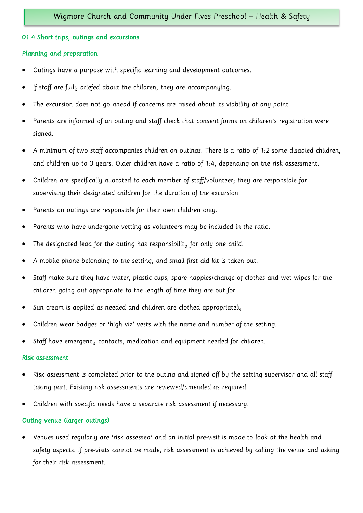# 01.4 Short trips, outings and excursions

## Planning and preparation

- Outings have a purpose with specific learning and development outcomes.
- If staff are fully briefed about the children, they are accompanying.
- The excursion does not go ahead if concerns are raised about its viability at any point.
- Parents are informed of an outing and staff check that consent forms on children's registration were signed.
- A minimum of two staff accompanies children on outings. There is a ratio of 1:2 some disabled children, and children up to 3 years. Older children have a ratio of 1:4, depending on the risk assessment.
- Children are specifically allocated to each member of staff/volunteer; they are responsible for supervising their designated children for the duration of the excursion.
- Parents on outings are responsible for their own children only.
- Parents who have undergone vetting as volunteers may be included in the ratio.
- The designated lead for the outing has responsibility for only one child.
- A mobile phone belonging to the setting, and small first aid kit is taken out.
- Staff make sure they have water, plastic cups, spare nappies/change of clothes and wet wipes for the children going out appropriate to the length of time they are out for.
- Sun cream is applied as needed and children are clothed appropriately
- Children wear badges or 'high viz' vests with the name and number of the setting.
- Staff have emergency contacts, medication and equipment needed for children.

#### Risk assessment

- Risk assessment is completed prior to the outing and signed off by the setting supervisor and all staff taking part. Existing risk assessments are reviewed/amended as required.
- Children with specific needs have a separate risk assessment if necessary.

# Outing venue (larger outings)

• Venues used regularly are 'risk assessed' and an initial pre-visit is made to look at the health and safety aspects. If pre-visits cannot be made, risk assessment is achieved by calling the venue and asking for their risk assessment.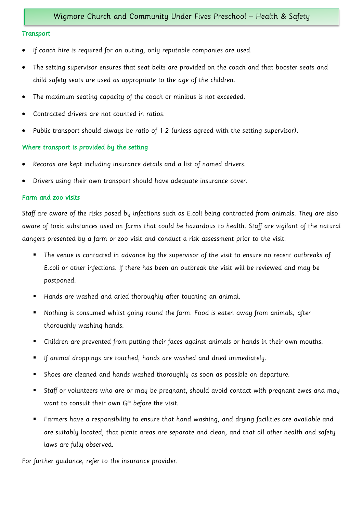#### **Transport**

- If coach hire is required for an outing, only reputable companies are used.
- The setting supervisor ensures that seat belts are provided on the coach and that booster seats and child safety seats are used as appropriate to the age of the children.
- The maximum seating capacity of the coach or minibus is not exceeded.
- Contracted drivers are not counted in ratios.
- Public transport should always be ratio of 1-2 (unless agreed with the setting supervisor).

## Where transport is provided by the setting

- Records are kept including insurance details and a list of named drivers.
- Drivers using their own transport should have adequate insurance cover.

# Farm and zoo visits

Staff are aware of the risks posed by infections such as E.coli being contracted from animals. They are also aware of toxic substances used on farms that could be hazardous to health. Staff are vigilant of the natural dangers presented by a farm or zoo visit and conduct a risk assessment prior to the visit.

- The venue is contacted in advance by the supervisor of the visit to ensure no recent outbreaks of E.coli or other infections. If there has been an outbreak the visit will be reviewed and may be postponed.
- Hands are washed and dried thoroughly after touching an animal.
- Nothing is consumed whilst going round the farm. Food is eaten away from animals, after thoroughly washing hands.
- Children are prevented from putting their faces against animals or hands in their own mouths.
- If animal droppings are touched, hands are washed and dried immediately.
- Shoes are cleaned and hands washed thoroughly as soon as possible on departure.
- Staff or volunteers who are or may be pregnant, should avoid contact with pregnant ewes and may want to consult their own GP before the visit.
- Farmers have a responsibility to ensure that hand washing, and drying facilities are available and are suitably located, that picnic areas are separate and clean, and that all other health and safety laws are fully observed.

For further guidance, refer to the insurance provider.